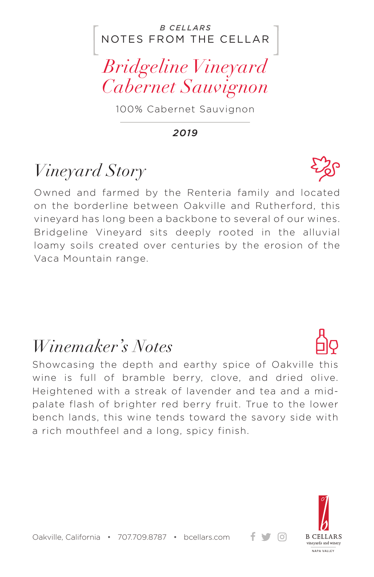#### NOTES FROM THE CELLAR *B CELLARS*

*Bridgeline Vineyard Cabernet Sauvignon*

100% Cabernet Sauvignon

*2019*

## *Vineyard Story*

Owned and farmed by the Renteria family and located on the borderline between Oakville and Rutherford, this vineyard has long been a backbone to several of our wines. Bridgeline Vineyard sits deeply rooted in the alluvial loamy soils created over centuries by the erosion of the Vaca Mountain range.

### *Winemaker's Notes*

Showcasing the depth and earthy spice of Oakville this wine is full of bramble berry, clove, and dried olive. Heightened with a streak of lavender and tea and a midpalate flash of brighter red berry fruit. True to the lower bench lands, this wine tends toward the savory side with a rich mouthfeel and a long, spicy finish.



+ ਚ ⊙